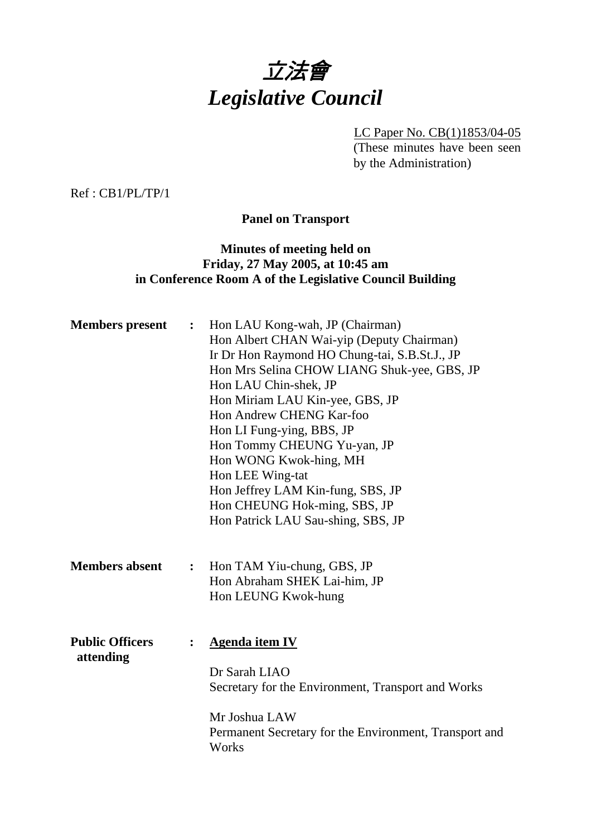

LC Paper No. CB(1)1853/04-05 (These minutes have been seen by the Administration)

Ref : CB1/PL/TP/1

**Panel on Transport** 

# **Minutes of meeting held on Friday, 27 May 2005, at 10:45 am in Conference Room A of the Legislative Council Building**

| <b>Members</b> present              | $\ddot{\cdot}$ | Hon LAU Kong-wah, JP (Chairman)<br>Hon Albert CHAN Wai-yip (Deputy Chairman)<br>Ir Dr Hon Raymond HO Chung-tai, S.B.St.J., JP<br>Hon Mrs Selina CHOW LIANG Shuk-yee, GBS, JP<br>Hon LAU Chin-shek, JP<br>Hon Miriam LAU Kin-yee, GBS, JP<br>Hon Andrew CHENG Kar-foo<br>Hon LI Fung-ying, BBS, JP<br>Hon Tommy CHEUNG Yu-yan, JP<br>Hon WONG Kwok-hing, MH<br>Hon LEE Wing-tat<br>Hon Jeffrey LAM Kin-fung, SBS, JP<br>Hon CHEUNG Hok-ming, SBS, JP<br>Hon Patrick LAU Sau-shing, SBS, JP |
|-------------------------------------|----------------|-------------------------------------------------------------------------------------------------------------------------------------------------------------------------------------------------------------------------------------------------------------------------------------------------------------------------------------------------------------------------------------------------------------------------------------------------------------------------------------------|
| <b>Members absent</b>               | $\ddot{\cdot}$ | Hon TAM Yiu-chung, GBS, JP<br>Hon Abraham SHEK Lai-him, JP<br>Hon LEUNG Kwok-hung                                                                                                                                                                                                                                                                                                                                                                                                         |
| <b>Public Officers</b><br>attending |                | <b>Agenda item IV</b><br>Dr Sarah LIAO<br>Secretary for the Environment, Transport and Works<br>Mr Joshua LAW<br>Permanent Secretary for the Environment, Transport and<br>Works                                                                                                                                                                                                                                                                                                          |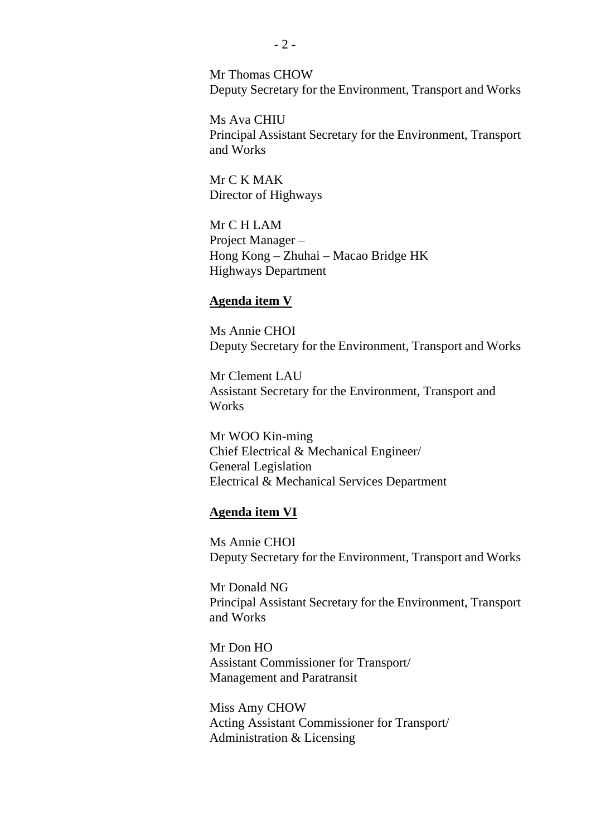Mr Thomas CHOW Deputy Secretary for the Environment, Transport and Works

Ms Ava CHIU Principal Assistant Secretary for the Environment, Transport and Works

Mr C K MAK Director of Highways

Mr C H LAM Project Manager – Hong Kong – Zhuhai – Macao Bridge HK Highways Department

#### **Agenda item V**

Ms Annie CHOI Deputy Secretary for the Environment, Transport and Works

Mr Clement LAU Assistant Secretary for the Environment, Transport and Works

Mr WOO Kin-ming Chief Electrical & Mechanical Engineer/ General Legislation Electrical & Mechanical Services Department

#### **Agenda item VI**

Ms Annie CHOI Deputy Secretary for the Environment, Transport and Works

Mr Donald NG Principal Assistant Secretary for the Environment, Transport and Works

Mr Don HO Assistant Commissioner for Transport/ Management and Paratransit

Miss Amy CHOW Acting Assistant Commissioner for Transport/ Administration & Licensing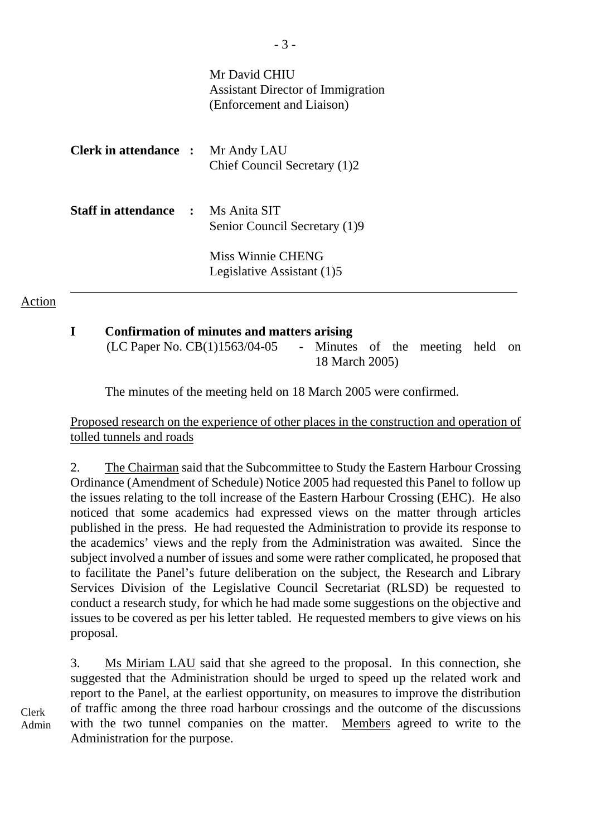|                                           | Mr David CHIU<br>Assistant Director of Immigration<br>(Enforcement and Liaison) |
|-------------------------------------------|---------------------------------------------------------------------------------|
| <b>Clerk in attendance :</b> Mr Andy LAU  | Chief Council Secretary (1)2                                                    |
| <b>Staff in attendance : Ms Anita SIT</b> | Senior Council Secretary (1)9                                                   |
|                                           | Miss Winnie CHENG<br>Legislative Assistant (1)5                                 |

**I Confirmation of minutes and matters arising**  (LC Paper No. CB(1)1563/04-05 - Minutes of the meeting held on 18 March 2005)

The minutes of the meeting held on 18 March 2005 were confirmed.

Proposed research on the experience of other places in the construction and operation of tolled tunnels and roads

2. The Chairman said that the Subcommittee to Study the Eastern Harbour Crossing Ordinance (Amendment of Schedule) Notice 2005 had requested this Panel to follow up the issues relating to the toll increase of the Eastern Harbour Crossing (EHC). He also noticed that some academics had expressed views on the matter through articles published in the press. He had requested the Administration to provide its response to the academics' views and the reply from the Administration was awaited. Since the subject involved a number of issues and some were rather complicated, he proposed that to facilitate the Panel's future deliberation on the subject, the Research and Library Services Division of the Legislative Council Secretariat (RLSD) be requested to conduct a research study, for which he had made some suggestions on the objective and issues to be covered as per his letter tabled. He requested members to give views on his proposal.

3. Ms Miriam LAU said that she agreed to the proposal. In this connection, she suggested that the Administration should be urged to speed up the related work and report to the Panel, at the earliest opportunity, on measures to improve the distribution of traffic among the three road harbour crossings and the outcome of the discussions with the two tunnel companies on the matter. Members agreed to write to the Administration for the purpose.

Clerk Admin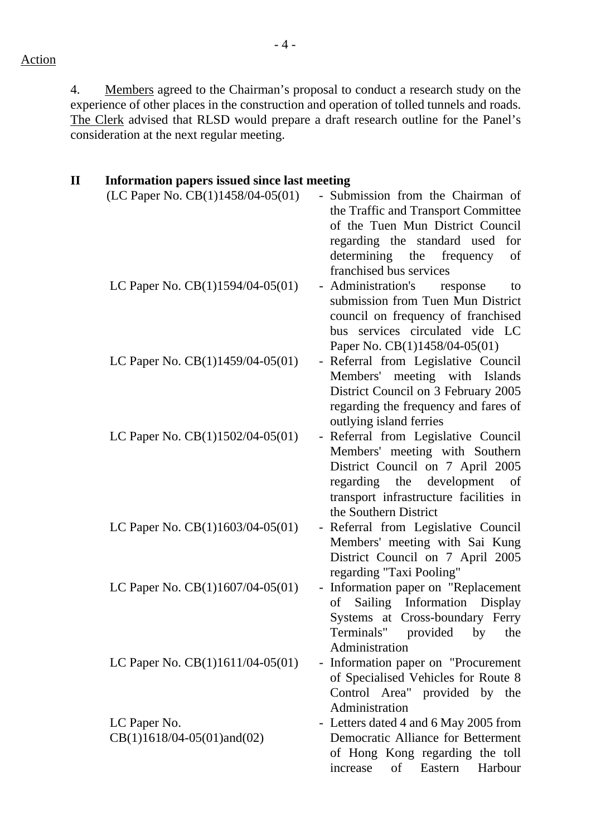4. Members agreed to the Chairman's proposal to conduct a research study on the experience of other places in the construction and operation of tolled tunnels and roads. The Clerk advised that RLSD would prepare a draft research outline for the Panel's consideration at the next regular meeting.

| $\mathbf H$<br><b>Information papers issued since last meeting</b> |                                                                                                                                                                                                                            |
|--------------------------------------------------------------------|----------------------------------------------------------------------------------------------------------------------------------------------------------------------------------------------------------------------------|
| (LC Paper No. CB(1)1458/04-05(01)                                  | Submission from the Chairman of<br>$\equiv$<br>the Traffic and Transport Committee<br>of the Tuen Mun District Council<br>regarding the standard used<br>for<br>determining the frequency<br>of<br>franchised bus services |
| LC Paper No. $CB(1)1594/04-05(01)$                                 | - Administration's<br>response<br>to<br>submission from Tuen Mun District<br>council on frequency of franchised<br>bus services circulated vide LC<br>Paper No. CB(1)1458/04-05(01)                                        |
| LC Paper No. $CB(1)1459/04-05(01)$                                 | - Referral from Legislative Council<br>Members' meeting with Islands<br>District Council on 3 February 2005<br>regarding the frequency and fares of<br>outlying island ferries                                             |
| LC Paper No. $CB(1)1502/04-05(01)$                                 | - Referral from Legislative Council<br>Members' meeting with Southern<br>District Council on 7 April 2005<br>regarding the development of<br>transport infrastructure facilities in<br>the Southern District               |
| LC Paper No. $CB(1)1603/04-05(01)$                                 | Referral from Legislative Council<br>Members' meeting with Sai Kung<br>District Council on 7 April 2005<br>regarding "Taxi Pooling"                                                                                        |
| LC Paper No. $CB(1)1607/04-05(01)$                                 | - Information paper on "Replacement<br>Sailing<br>Information Display<br>of<br>Systems at Cross-boundary Ferry<br>Terminals" provided<br>by<br>the<br>Administration                                                       |
| LC Paper No. $CB(1)1611/04-05(01)$                                 | Information paper on "Procurement<br>$\blacksquare$<br>of Specialised Vehicles for Route 8<br>Control Area" provided by the<br>Administration                                                                              |
| LC Paper No.                                                       | - Letters dated 4 and 6 May 2005 from                                                                                                                                                                                      |
| $CB(1)1618/04-05(01)$ and $(02)$                                   | Democratic Alliance for Betterment<br>of Hong Kong regarding the toll<br>of<br>Eastern<br>increase<br>Harbour                                                                                                              |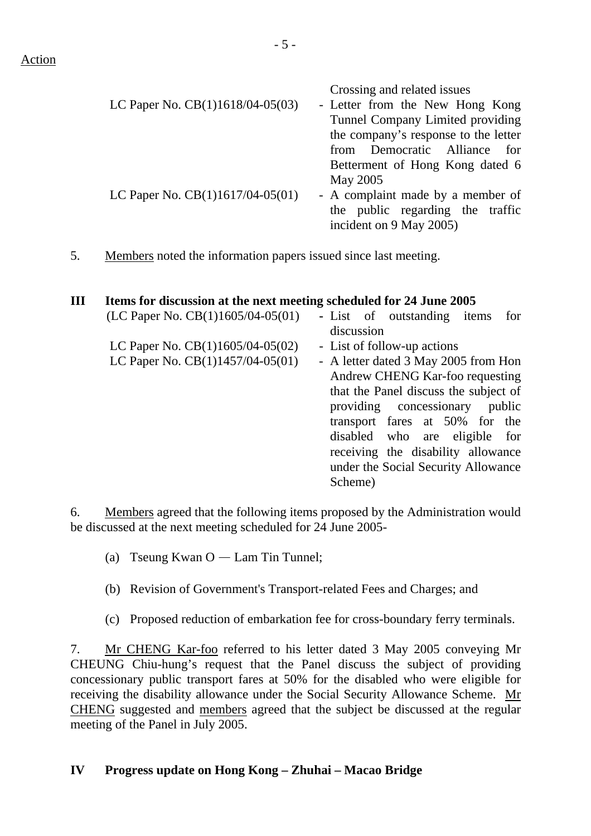| LC Paper No. CB(1)1618/04-05(03) | Crossing and related issues<br>- Letter from the New Hong Kong<br>Tunnel Company Limited providing<br>the company's response to the letter<br>from Democratic Alliance for |
|----------------------------------|----------------------------------------------------------------------------------------------------------------------------------------------------------------------------|
| LC Paper No. CB(1)1617/04-05(01) | Betterment of Hong Kong dated 6<br>May 2005<br>- A complaint made by a member of<br>the public regarding the traffic<br>incident on 9 May 2005)                            |

5. Members noted the information papers issued since last meeting.

# **III Items for discussion at the next meeting scheduled for 24 June 2005**

| (LC Paper No. CB(1)1605/04-05(01)  | - List of outstanding items<br>for    |
|------------------------------------|---------------------------------------|
|                                    | discussion                            |
| LC Paper No. $CB(1)1605/04-05(02)$ | - List of follow-up actions           |
| LC Paper No. $CB(1)1457/04-05(01)$ | - A letter dated 3 May 2005 from Hon  |
|                                    | Andrew CHENG Kar-foo requesting       |
|                                    | that the Panel discuss the subject of |
|                                    | providing concessionary<br>public     |
|                                    | transport fares at 50% for the        |
|                                    | disabled who are eligible for         |
|                                    | receiving the disability allowance    |
|                                    | under the Social Security Allowance   |
|                                    | Scheme)                               |

6. Members agreed that the following items proposed by the Administration would be discussed at the next meeting scheduled for 24 June 2005-

- (a) Tseung Kwan  $O -$  Lam Tin Tunnel;
- (b) Revision of Government's Transport-related Fees and Charges; and
- (c) Proposed reduction of embarkation fee for cross-boundary ferry terminals.

7. Mr CHENG Kar-foo referred to his letter dated 3 May 2005 conveying Mr CHEUNG Chiu-hung's request that the Panel discuss the subject of providing concessionary public transport fares at 50% for the disabled who were eligible for receiving the disability allowance under the Social Security Allowance Scheme. Mr CHENG suggested and members agreed that the subject be discussed at the regular meeting of the Panel in July 2005.

### **IV Progress update on Hong Kong – Zhuhai – Macao Bridge**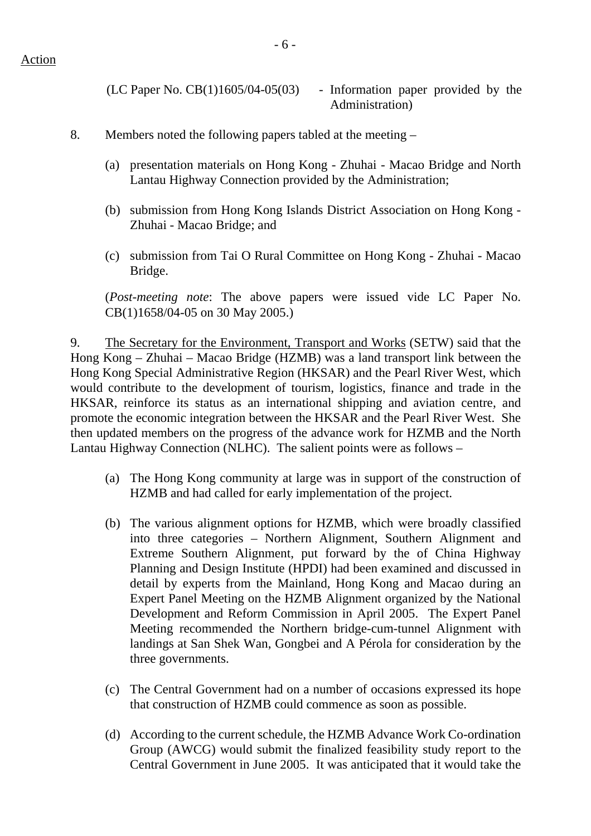$(LC$  Paper No.  $CB(1)1605/04-05(03)$  - Information paper provided by the Administration)

### 8. Members noted the following papers tabled at the meeting –

- (a) presentation materials on Hong Kong Zhuhai Macao Bridge and North Lantau Highway Connection provided by the Administration;
- (b) submission from Hong Kong Islands District Association on Hong Kong Zhuhai - Macao Bridge; and
- (c) submission from Tai O Rural Committee on Hong Kong Zhuhai Macao Bridge.

(*Post-meeting note*: The above papers were issued vide LC Paper No. CB(1)1658/04-05 on 30 May 2005.)

9. The Secretary for the Environment, Transport and Works (SETW) said that the Hong Kong – Zhuhai – Macao Bridge (HZMB) was a land transport link between the Hong Kong Special Administrative Region (HKSAR) and the Pearl River West, which would contribute to the development of tourism, logistics, finance and trade in the HKSAR, reinforce its status as an international shipping and aviation centre, and promote the economic integration between the HKSAR and the Pearl River West. She then updated members on the progress of the advance work for HZMB and the North Lantau Highway Connection (NLHC). The salient points were as follows –

- (a) The Hong Kong community at large was in support of the construction of HZMB and had called for early implementation of the project.
- (b) The various alignment options for HZMB, which were broadly classified into three categories – Northern Alignment, Southern Alignment and Extreme Southern Alignment, put forward by the of China Highway Planning and Design Institute (HPDI) had been examined and discussed in detail by experts from the Mainland, Hong Kong and Macao during an Expert Panel Meeting on the HZMB Alignment organized by the National Development and Reform Commission in April 2005. The Expert Panel Meeting recommended the Northern bridge-cum-tunnel Alignment with landings at San Shek Wan, Gongbei and A Pérola for consideration by the three governments.
- (c) The Central Government had on a number of occasions expressed its hope that construction of HZMB could commence as soon as possible.
- (d) According to the current schedule, the HZMB Advance Work Co-ordination Group (AWCG) would submit the finalized feasibility study report to the Central Government in June 2005. It was anticipated that it would take the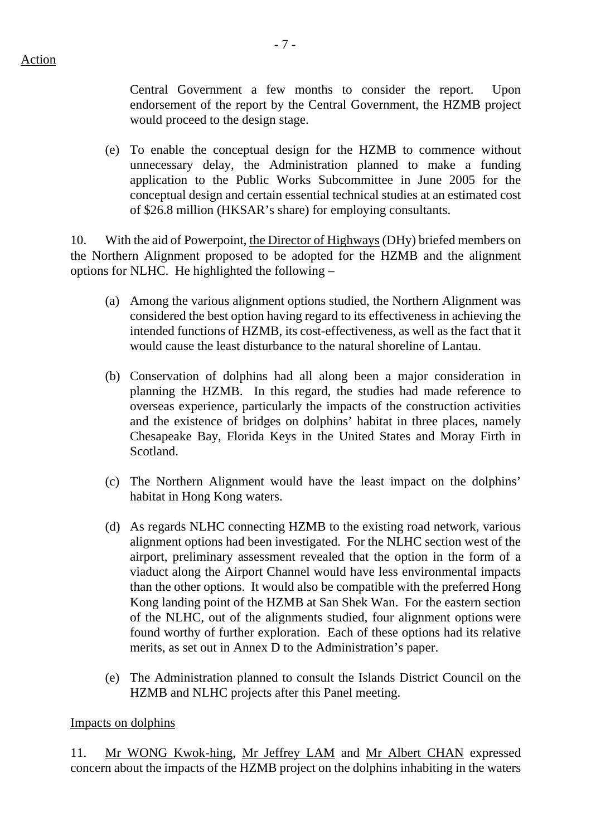- 7 -

Central Government a few months to consider the report. Upon endorsement of the report by the Central Government, the HZMB project would proceed to the design stage.

(e) To enable the conceptual design for the HZMB to commence without unnecessary delay, the Administration planned to make a funding application to the Public Works Subcommittee in June 2005 for the conceptual design and certain essential technical studies at an estimated cost of \$26.8 million (HKSAR's share) for employing consultants.

10. With the aid of Powerpoint, the Director of Highways (DHy) briefed members on the Northern Alignment proposed to be adopted for the HZMB and the alignment options for NLHC. He highlighted the following –

- (a) Among the various alignment options studied, the Northern Alignment was considered the best option having regard to its effectiveness in achieving the intended functions of HZMB, its cost-effectiveness, as well as the fact that it would cause the least disturbance to the natural shoreline of Lantau.
- (b) Conservation of dolphins had all along been a major consideration in planning the HZMB. In this regard, the studies had made reference to overseas experience, particularly the impacts of the construction activities and the existence of bridges on dolphins' habitat in three places, namely Chesapeake Bay, Florida Keys in the United States and Moray Firth in Scotland.
- (c) The Northern Alignment would have the least impact on the dolphins' habitat in Hong Kong waters.
- (d) As regards NLHC connecting HZMB to the existing road network, various alignment options had been investigated. For the NLHC section west of the airport, preliminary assessment revealed that the option in the form of a viaduct along the Airport Channel would have less environmental impacts than the other options. It would also be compatible with the preferred Hong Kong landing point of the HZMB at San Shek Wan. For the eastern section of the NLHC, out of the alignments studied, four alignment options were found worthy of further exploration. Each of these options had its relative merits, as set out in Annex D to the Administration's paper.
- (e) The Administration planned to consult the Islands District Council on the HZMB and NLHC projects after this Panel meeting.

### Impacts on dolphins

11. Mr WONG Kwok-hing, Mr Jeffrey LAM and Mr Albert CHAN expressed concern about the impacts of the HZMB project on the dolphins inhabiting in the waters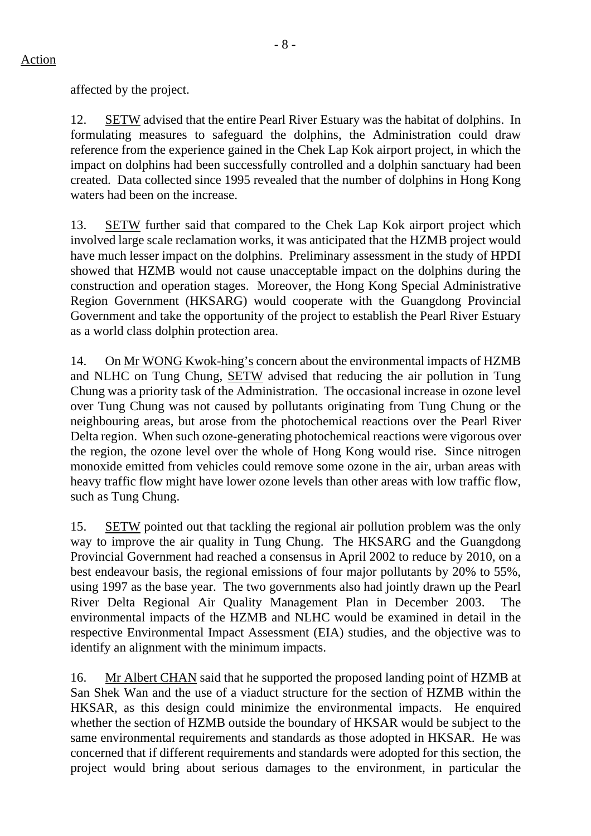affected by the project.

12. SETW advised that the entire Pearl River Estuary was the habitat of dolphins. In formulating measures to safeguard the dolphins, the Administration could draw reference from the experience gained in the Chek Lap Kok airport project, in which the impact on dolphins had been successfully controlled and a dolphin sanctuary had been created. Data collected since 1995 revealed that the number of dolphins in Hong Kong waters had been on the increase.

13. SETW further said that compared to the Chek Lap Kok airport project which involved large scale reclamation works, it was anticipated that the HZMB project would have much lesser impact on the dolphins. Preliminary assessment in the study of HPDI showed that HZMB would not cause unacceptable impact on the dolphins during the construction and operation stages. Moreover, the Hong Kong Special Administrative Region Government (HKSARG) would cooperate with the Guangdong Provincial Government and take the opportunity of the project to establish the Pearl River Estuary as a world class dolphin protection area.

14. On Mr WONG Kwok-hing's concern about the environmental impacts of HZMB and NLHC on Tung Chung, SETW advised that reducing the air pollution in Tung Chung was a priority task of the Administration. The occasional increase in ozone level over Tung Chung was not caused by pollutants originating from Tung Chung or the neighbouring areas, but arose from the photochemical reactions over the Pearl River Delta region. When such ozone-generating photochemical reactions were vigorous over the region, the ozone level over the whole of Hong Kong would rise. Since nitrogen monoxide emitted from vehicles could remove some ozone in the air, urban areas with heavy traffic flow might have lower ozone levels than other areas with low traffic flow, such as Tung Chung.

15. SETW pointed out that tackling the regional air pollution problem was the only way to improve the air quality in Tung Chung. The HKSARG and the Guangdong Provincial Government had reached a consensus in April 2002 to reduce by 2010, on a best endeavour basis, the regional emissions of four major pollutants by 20% to 55%, using 1997 as the base year. The two governments also had jointly drawn up the Pearl River Delta Regional Air Quality Management Plan in December 2003. The environmental impacts of the HZMB and NLHC would be examined in detail in the respective Environmental Impact Assessment (EIA) studies, and the objective was to identify an alignment with the minimum impacts.

16. Mr Albert CHAN said that he supported the proposed landing point of HZMB at San Shek Wan and the use of a viaduct structure for the section of HZMB within the HKSAR, as this design could minimize the environmental impacts. He enquired whether the section of HZMB outside the boundary of HKSAR would be subject to the same environmental requirements and standards as those adopted in HKSAR. He was concerned that if different requirements and standards were adopted for this section, the project would bring about serious damages to the environment, in particular the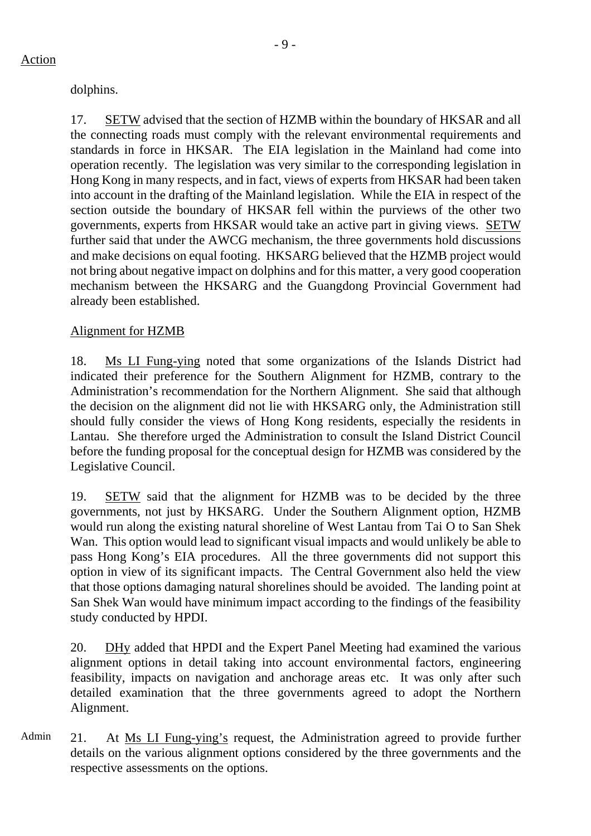dolphins.

17. SETW advised that the section of HZMB within the boundary of HKSAR and all the connecting roads must comply with the relevant environmental requirements and standards in force in HKSAR. The EIA legislation in the Mainland had come into operation recently. The legislation was very similar to the corresponding legislation in Hong Kong in many respects, and in fact, views of experts from HKSAR had been taken into account in the drafting of the Mainland legislation. While the EIA in respect of the section outside the boundary of HKSAR fell within the purviews of the other two governments, experts from HKSAR would take an active part in giving views. SETW further said that under the AWCG mechanism, the three governments hold discussions and make decisions on equal footing. HKSARG believed that the HZMB project would not bring about negative impact on dolphins and for this matter, a very good cooperation mechanism between the HKSARG and the Guangdong Provincial Government had already been established.

# Alignment for HZMB

18. Ms LI Fung-ying noted that some organizations of the Islands District had indicated their preference for the Southern Alignment for HZMB, contrary to the Administration's recommendation for the Northern Alignment. She said that although the decision on the alignment did not lie with HKSARG only, the Administration still should fully consider the views of Hong Kong residents, especially the residents in Lantau. She therefore urged the Administration to consult the Island District Council before the funding proposal for the conceptual design for HZMB was considered by the Legislative Council.

19. SETW said that the alignment for HZMB was to be decided by the three governments, not just by HKSARG. Under the Southern Alignment option, HZMB would run along the existing natural shoreline of West Lantau from Tai O to San Shek Wan. This option would lead to significant visual impacts and would unlikely be able to pass Hong Kong's EIA procedures. All the three governments did not support this option in view of its significant impacts. The Central Government also held the view that those options damaging natural shorelines should be avoided. The landing point at San Shek Wan would have minimum impact according to the findings of the feasibility study conducted by HPDI.

20. DHy added that HPDI and the Expert Panel Meeting had examined the various alignment options in detail taking into account environmental factors, engineering feasibility, impacts on navigation and anchorage areas etc. It was only after such detailed examination that the three governments agreed to adopt the Northern Alignment.

Admin 21. At Ms LI Fung-ying's request, the Administration agreed to provide further details on the various alignment options considered by the three governments and the respective assessments on the options.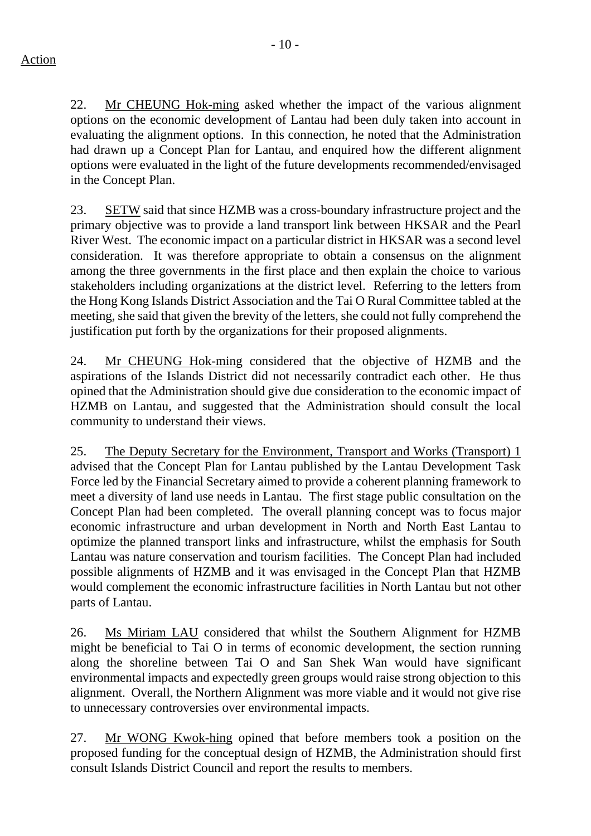22. Mr CHEUNG Hok-ming asked whether the impact of the various alignment options on the economic development of Lantau had been duly taken into account in evaluating the alignment options. In this connection, he noted that the Administration

had drawn up a Concept Plan for Lantau, and enquired how the different alignment options were evaluated in the light of the future developments recommended/envisaged in the Concept Plan. 23. SETW said that since HZMB was a cross-boundary infrastructure project and the

primary objective was to provide a land transport link between HKSAR and the Pearl River West. The economic impact on a particular district in HKSAR was a second level consideration. It was therefore appropriate to obtain a consensus on the alignment among the three governments in the first place and then explain the choice to various stakeholders including organizations at the district level. Referring to the letters from the Hong Kong Islands District Association and the Tai O Rural Committee tabled at the meeting, she said that given the brevity of the letters, she could not fully comprehend the justification put forth by the organizations for their proposed alignments.

24. Mr CHEUNG Hok-ming considered that the objective of HZMB and the aspirations of the Islands District did not necessarily contradict each other. He thus opined that the Administration should give due consideration to the economic impact of HZMB on Lantau, and suggested that the Administration should consult the local community to understand their views.

25. The Deputy Secretary for the Environment, Transport and Works (Transport) 1 advised that the Concept Plan for Lantau published by the Lantau Development Task Force led by the Financial Secretary aimed to provide a coherent planning framework to meet a diversity of land use needs in Lantau. The first stage public consultation on the Concept Plan had been completed. The overall planning concept was to focus major economic infrastructure and urban development in North and North East Lantau to optimize the planned transport links and infrastructure, whilst the emphasis for South Lantau was nature conservation and tourism facilities. The Concept Plan had included possible alignments of HZMB and it was envisaged in the Concept Plan that HZMB would complement the economic infrastructure facilities in North Lantau but not other parts of Lantau.

26. Ms Miriam LAU considered that whilst the Southern Alignment for HZMB might be beneficial to Tai O in terms of economic development, the section running along the shoreline between Tai O and San Shek Wan would have significant environmental impacts and expectedly green groups would raise strong objection to this alignment. Overall, the Northern Alignment was more viable and it would not give rise to unnecessary controversies over environmental impacts.

27. Mr WONG Kwok-hing opined that before members took a position on the proposed funding for the conceptual design of HZMB, the Administration should first consult Islands District Council and report the results to members.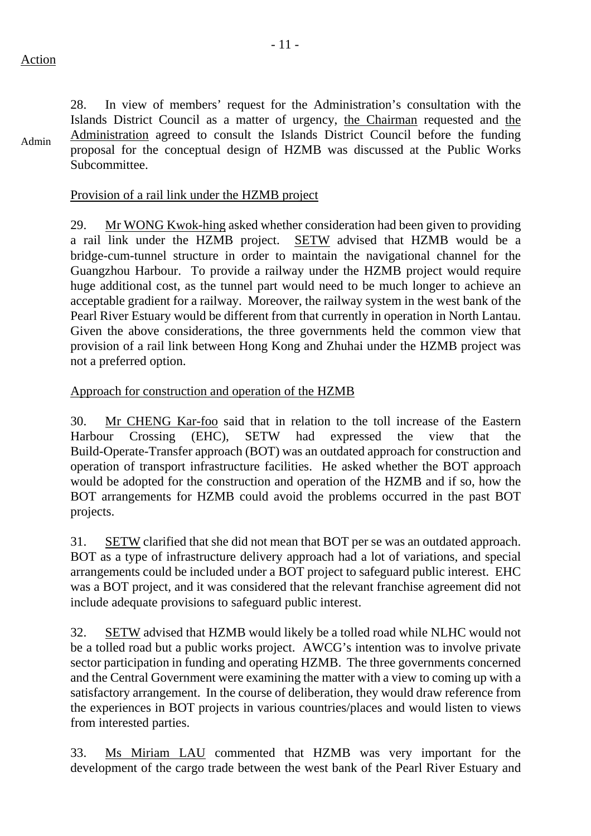Admin

Subcommittee.

28. In view of members' request for the Administration's consultation with the Islands District Council as a matter of urgency, the Chairman requested and the Administration agreed to consult the Islands District Council before the funding proposal for the conceptual design of HZMB was discussed at the Public Works

Provision of a rail link under the HZMB project

29. Mr WONG Kwok-hing asked whether consideration had been given to providing a rail link under the HZMB project. SETW advised that HZMB would be a bridge-cum-tunnel structure in order to maintain the navigational channel for the Guangzhou Harbour. To provide a railway under the HZMB project would require huge additional cost, as the tunnel part would need to be much longer to achieve an acceptable gradient for a railway. Moreover, the railway system in the west bank of the Pearl River Estuary would be different from that currently in operation in North Lantau. Given the above considerations, the three governments held the common view that provision of a rail link between Hong Kong and Zhuhai under the HZMB project was not a preferred option.

#### Approach for construction and operation of the HZMB

30. Mr CHENG Kar-foo said that in relation to the toll increase of the Eastern Harbour Crossing (EHC), SETW had expressed the view that the Build-Operate-Transfer approach (BOT) was an outdated approach for construction and operation of transport infrastructure facilities. He asked whether the BOT approach would be adopted for the construction and operation of the HZMB and if so, how the BOT arrangements for HZMB could avoid the problems occurred in the past BOT projects.

31. SETW clarified that she did not mean that BOT per se was an outdated approach. BOT as a type of infrastructure delivery approach had a lot of variations, and special arrangements could be included under a BOT project to safeguard public interest. EHC was a BOT project, and it was considered that the relevant franchise agreement did not include adequate provisions to safeguard public interest.

32. SETW advised that HZMB would likely be a tolled road while NLHC would not be a tolled road but a public works project. AWCG's intention was to involve private sector participation in funding and operating HZMB. The three governments concerned and the Central Government were examining the matter with a view to coming up with a satisfactory arrangement. In the course of deliberation, they would draw reference from the experiences in BOT projects in various countries/places and would listen to views from interested parties.

33. Ms Miriam LAU commented that HZMB was very important for the development of the cargo trade between the west bank of the Pearl River Estuary and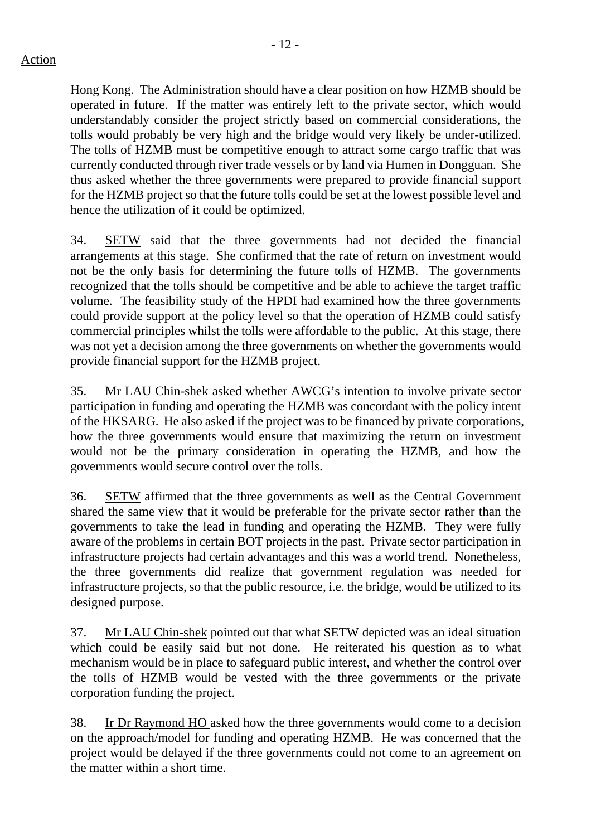Hong Kong. The Administration should have a clear position on how HZMB should be operated in future. If the matter was entirely left to the private sector, which would understandably consider the project strictly based on commercial considerations, the tolls would probably be very high and the bridge would very likely be under-utilized. The tolls of HZMB must be competitive enough to attract some cargo traffic that was currently conducted through river trade vessels or by land via Humen in Dongguan. She thus asked whether the three governments were prepared to provide financial support for the HZMB project so that the future tolls could be set at the lowest possible level and hence the utilization of it could be optimized.

34. SETW said that the three governments had not decided the financial arrangements at this stage. She confirmed that the rate of return on investment would not be the only basis for determining the future tolls of HZMB. The governments recognized that the tolls should be competitive and be able to achieve the target traffic volume. The feasibility study of the HPDI had examined how the three governments could provide support at the policy level so that the operation of HZMB could satisfy commercial principles whilst the tolls were affordable to the public. At this stage, there was not yet a decision among the three governments on whether the governments would provide financial support for the HZMB project.

35. Mr LAU Chin-shek asked whether AWCG's intention to involve private sector participation in funding and operating the HZMB was concordant with the policy intent of the HKSARG. He also asked if the project was to be financed by private corporations, how the three governments would ensure that maximizing the return on investment would not be the primary consideration in operating the HZMB, and how the governments would secure control over the tolls.

36. SETW affirmed that the three governments as well as the Central Government shared the same view that it would be preferable for the private sector rather than the governments to take the lead in funding and operating the HZMB. They were fully aware of the problems in certain BOT projects in the past. Private sector participation in infrastructure projects had certain advantages and this was a world trend. Nonetheless, the three governments did realize that government regulation was needed for infrastructure projects, so that the public resource, i.e. the bridge, would be utilized to its designed purpose.

37. Mr LAU Chin-shek pointed out that what SETW depicted was an ideal situation which could be easily said but not done. He reiterated his question as to what mechanism would be in place to safeguard public interest, and whether the control over the tolls of HZMB would be vested with the three governments or the private corporation funding the project.

38. Ir Dr Raymond HO asked how the three governments would come to a decision on the approach/model for funding and operating HZMB. He was concerned that the project would be delayed if the three governments could not come to an agreement on the matter within a short time.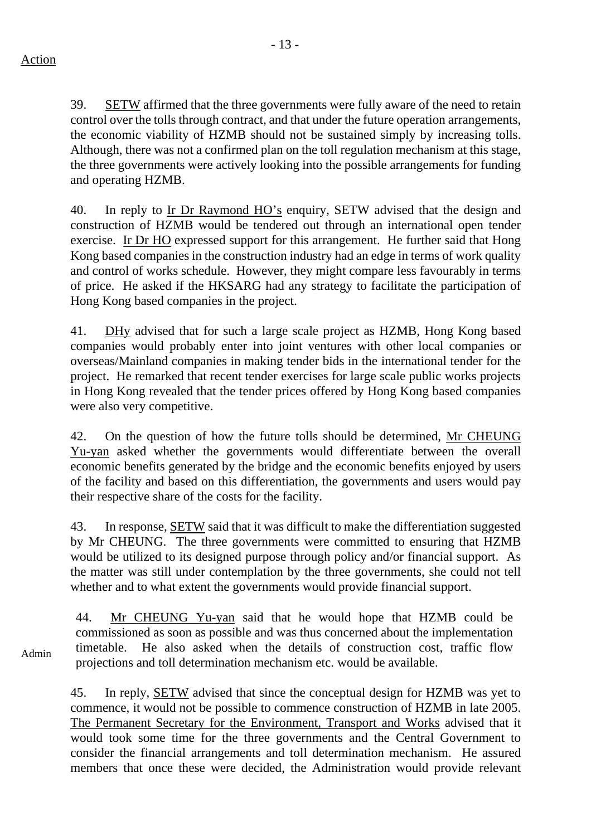39. SETW affirmed that the three governments were fully aware of the need to retain control over the tolls through contract, and that under the future operation arrangements, the economic viability of HZMB should not be sustained simply by increasing tolls. Although, there was not a confirmed plan on the toll regulation mechanism at this stage, the three governments were actively looking into the possible arrangements for funding and operating HZMB.

40. In reply to Ir Dr Raymond HO's enquiry, SETW advised that the design and construction of HZMB would be tendered out through an international open tender exercise. Ir Dr HO expressed support for this arrangement. He further said that Hong Kong based companies in the construction industry had an edge in terms of work quality and control of works schedule. However, they might compare less favourably in terms of price. He asked if the HKSARG had any strategy to facilitate the participation of Hong Kong based companies in the project.

41. DHy advised that for such a large scale project as HZMB, Hong Kong based companies would probably enter into joint ventures with other local companies or overseas/Mainland companies in making tender bids in the international tender for the project. He remarked that recent tender exercises for large scale public works projects in Hong Kong revealed that the tender prices offered by Hong Kong based companies were also very competitive.

42. On the question of how the future tolls should be determined, Mr CHEUNG Yu-yan asked whether the governments would differentiate between the overall economic benefits generated by the bridge and the economic benefits enjoyed by users of the facility and based on this differentiation, the governments and users would pay their respective share of the costs for the facility.

43. In response, SETW said that it was difficult to make the differentiation suggested by Mr CHEUNG. The three governments were committed to ensuring that HZMB would be utilized to its designed purpose through policy and/or financial support. As the matter was still under contemplation by the three governments, she could not tell whether and to what extent the governments would provide financial support.

44. Mr CHEUNG Yu-yan said that he would hope that HZMB could be commissioned as soon as possible and was thus concerned about the implementation timetable. He also asked when the details of construction cost, traffic flow projections and toll determination mechanism etc. would be available.

45. In reply, SETW advised that since the conceptual design for HZMB was yet to commence, it would not be possible to commence construction of HZMB in late 2005. The Permanent Secretary for the Environment, Transport and Works advised that it would took some time for the three governments and the Central Government to consider the financial arrangements and toll determination mechanism. He assured members that once these were decided, the Administration would provide relevant

Admin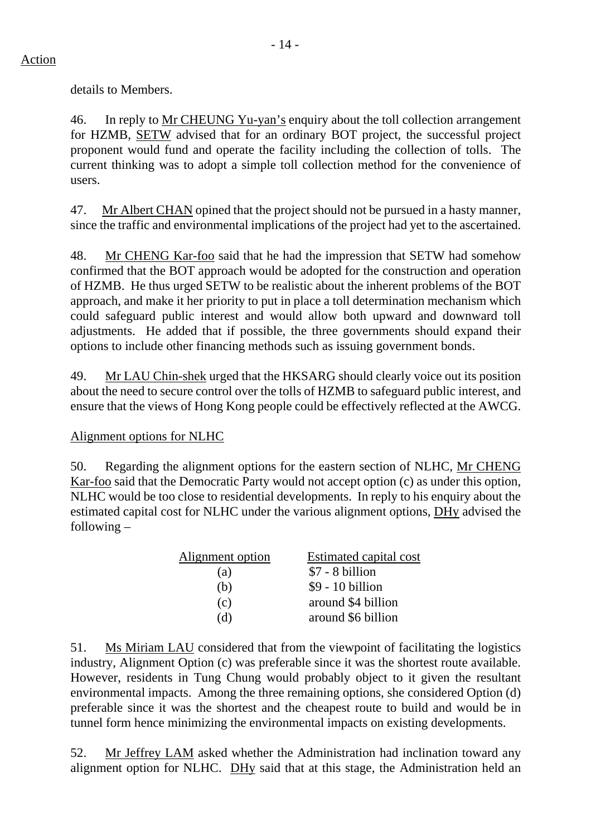details to Members.

46. In reply to Mr CHEUNG Yu-yan's enquiry about the toll collection arrangement for HZMB, SETW advised that for an ordinary BOT project, the successful project proponent would fund and operate the facility including the collection of tolls. The current thinking was to adopt a simple toll collection method for the convenience of users.

47. Mr Albert CHAN opined that the project should not be pursued in a hasty manner, since the traffic and environmental implications of the project had yet to the ascertained.

48. Mr CHENG Kar-foo said that he had the impression that SETW had somehow confirmed that the BOT approach would be adopted for the construction and operation of HZMB. He thus urged SETW to be realistic about the inherent problems of the BOT approach, and make it her priority to put in place a toll determination mechanism which could safeguard public interest and would allow both upward and downward toll adjustments. He added that if possible, the three governments should expand their options to include other financing methods such as issuing government bonds.

49. Mr LAU Chin-shek urged that the HKSARG should clearly voice out its position about the need to secure control over the tolls of HZMB to safeguard public interest, and ensure that the views of Hong Kong people could be effectively reflected at the AWCG.

# Alignment options for NLHC

50. Regarding the alignment options for the eastern section of NLHC, Mr CHENG Kar-foo said that the Democratic Party would not accept option (c) as under this option, NLHC would be too close to residential developments. In reply to his enquiry about the estimated capital cost for NLHC under the various alignment options, DHy advised the following –

| Alignment option | <b>Estimated capital cost</b> |
|------------------|-------------------------------|
| (a)              | $$7 - 8$ billion              |
| (b)              | $$9 - 10$ billion             |
| (c)              | around \$4 billion            |
| (d)              | around \$6 billion            |

51. Ms Miriam LAU considered that from the viewpoint of facilitating the logistics industry, Alignment Option (c) was preferable since it was the shortest route available. However, residents in Tung Chung would probably object to it given the resultant environmental impacts. Among the three remaining options, she considered Option (d) preferable since it was the shortest and the cheapest route to build and would be in tunnel form hence minimizing the environmental impacts on existing developments.

52. Mr Jeffrey LAM asked whether the Administration had inclination toward any alignment option for NLHC. DHy said that at this stage, the Administration held an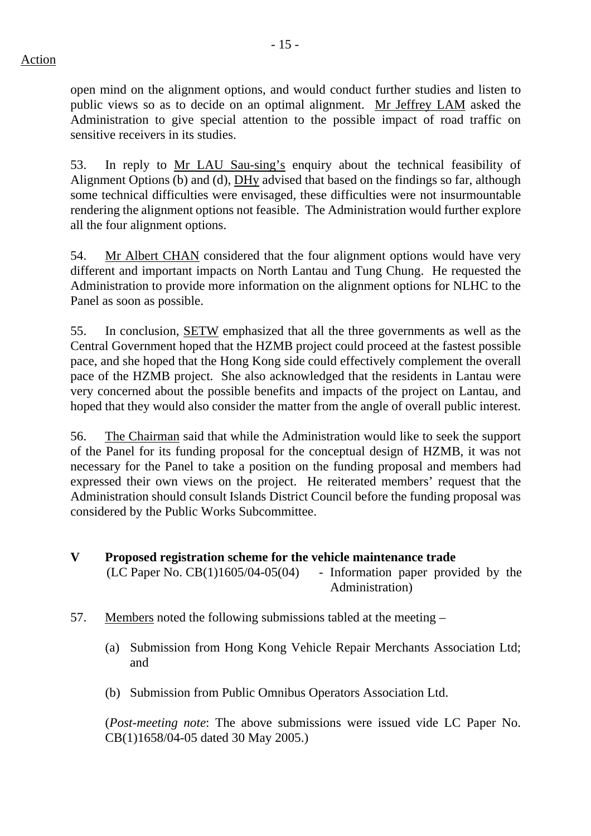open mind on the alignment options, and would conduct further studies and listen to public views so as to decide on an optimal alignment. Mr Jeffrey LAM asked the Administration to give special attention to the possible impact of road traffic on sensitive receivers in its studies.

53. In reply to Mr LAU Sau-sing's enquiry about the technical feasibility of Alignment Options (b) and (d), DHy advised that based on the findings so far, although some technical difficulties were envisaged, these difficulties were not insurmountable rendering the alignment options not feasible. The Administration would further explore all the four alignment options.

54. Mr Albert CHAN considered that the four alignment options would have very different and important impacts on North Lantau and Tung Chung. He requested the Administration to provide more information on the alignment options for NLHC to the Panel as soon as possible.

55. In conclusion, SETW emphasized that all the three governments as well as the Central Government hoped that the HZMB project could proceed at the fastest possible pace, and she hoped that the Hong Kong side could effectively complement the overall pace of the HZMB project. She also acknowledged that the residents in Lantau were very concerned about the possible benefits and impacts of the project on Lantau, and hoped that they would also consider the matter from the angle of overall public interest.

56. The Chairman said that while the Administration would like to seek the support of the Panel for its funding proposal for the conceptual design of HZMB, it was not necessary for the Panel to take a position on the funding proposal and members had expressed their own views on the project. He reiterated members' request that the Administration should consult Islands District Council before the funding proposal was considered by the Public Works Subcommittee.

- **V Proposed registration scheme for the vehicle maintenance trade**   $(LC$  Paper No.  $CB(1)1605/04-05(04)$  - Information paper provided by the Administration)
- 57. Members noted the following submissions tabled at the meeting
	- (a) Submission from Hong Kong Vehicle Repair Merchants Association Ltd; and
	- (b) Submission from Public Omnibus Operators Association Ltd.

(*Post-meeting note*: The above submissions were issued vide LC Paper No. CB(1)1658/04-05 dated 30 May 2005.)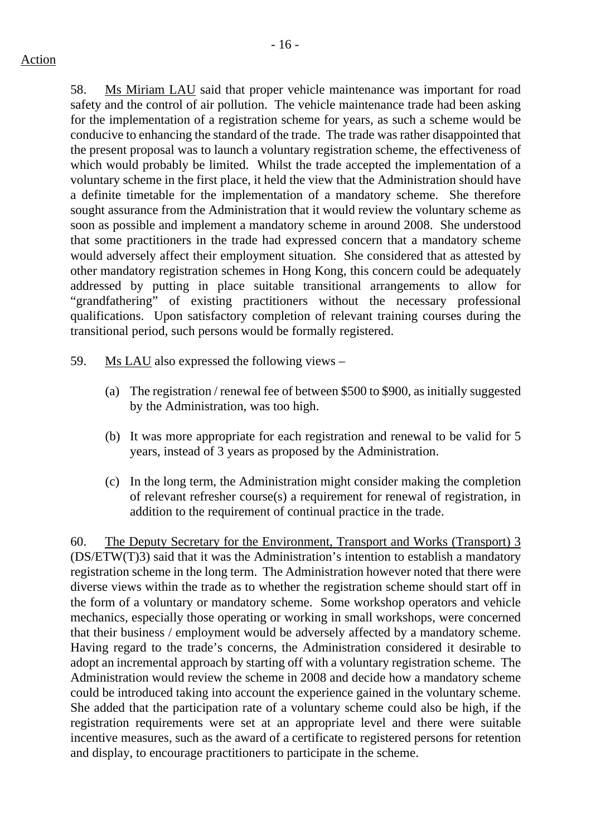58. Ms Miriam LAU said that proper vehicle maintenance was important for road safety and the control of air pollution. The vehicle maintenance trade had been asking for the implementation of a registration scheme for years, as such a scheme would be conducive to enhancing the standard of the trade. The trade was rather disappointed that the present proposal was to launch a voluntary registration scheme, the effectiveness of which would probably be limited. Whilst the trade accepted the implementation of a voluntary scheme in the first place, it held the view that the Administration should have a definite timetable for the implementation of a mandatory scheme. She therefore sought assurance from the Administration that it would review the voluntary scheme as soon as possible and implement a mandatory scheme in around 2008. She understood that some practitioners in the trade had expressed concern that a mandatory scheme would adversely affect their employment situation. She considered that as attested by other mandatory registration schemes in Hong Kong, this concern could be adequately addressed by putting in place suitable transitional arrangements to allow for "grandfathering" of existing practitioners without the necessary professional qualifications. Upon satisfactory completion of relevant training courses during the transitional period, such persons would be formally registered.

- 59. Ms LAU also expressed the following views
	- (a) The registration / renewal fee of between \$500 to \$900, as initially suggested by the Administration, was too high.
	- (b) It was more appropriate for each registration and renewal to be valid for 5 years, instead of 3 years as proposed by the Administration.
	- (c) In the long term, the Administration might consider making the completion of relevant refresher course(s) a requirement for renewal of registration, in addition to the requirement of continual practice in the trade.

60. The Deputy Secretary for the Environment, Transport and Works (Transport) 3 (DS/ETW(T)3) said that it was the Administration's intention to establish a mandatory registration scheme in the long term. The Administration however noted that there were diverse views within the trade as to whether the registration scheme should start off in the form of a voluntary or mandatory scheme. Some workshop operators and vehicle mechanics, especially those operating or working in small workshops, were concerned that their business / employment would be adversely affected by a mandatory scheme. Having regard to the trade's concerns, the Administration considered it desirable to adopt an incremental approach by starting off with a voluntary registration scheme. The Administration would review the scheme in 2008 and decide how a mandatory scheme could be introduced taking into account the experience gained in the voluntary scheme. She added that the participation rate of a voluntary scheme could also be high, if the registration requirements were set at an appropriate level and there were suitable incentive measures, such as the award of a certificate to registered persons for retention and display, to encourage practitioners to participate in the scheme.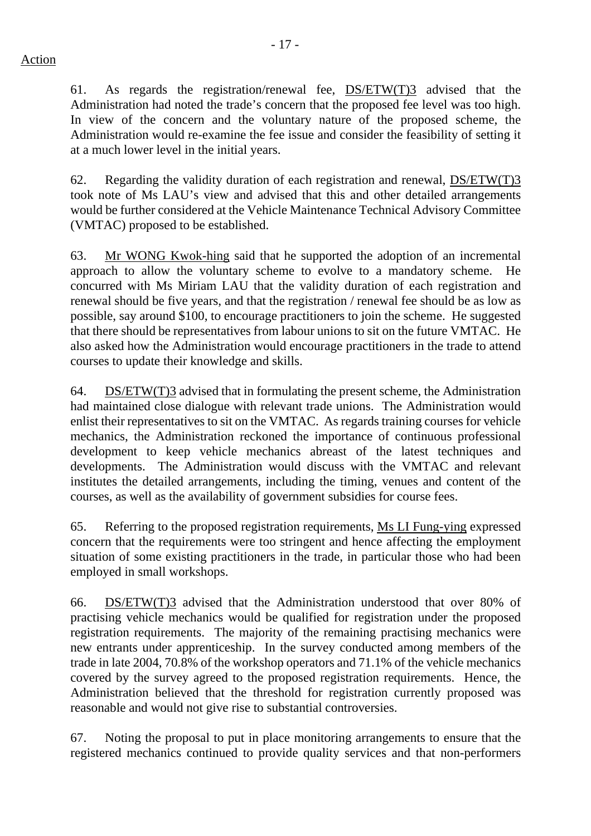61. As regards the registration/renewal fee, DS/ETW(T)3 advised that the Administration had noted the trade's concern that the proposed fee level was too high. In view of the concern and the voluntary nature of the proposed scheme, the Administration would re-examine the fee issue and consider the feasibility of setting it at a much lower level in the initial years.

62. Regarding the validity duration of each registration and renewal, DS/ETW(T)3 took note of Ms LAU's view and advised that this and other detailed arrangements would be further considered at the Vehicle Maintenance Technical Advisory Committee (VMTAC) proposed to be established.

63. Mr WONG Kwok-hing said that he supported the adoption of an incremental approach to allow the voluntary scheme to evolve to a mandatory scheme. He concurred with Ms Miriam LAU that the validity duration of each registration and renewal should be five years, and that the registration / renewal fee should be as low as possible, say around \$100, to encourage practitioners to join the scheme. He suggested that there should be representatives from labour unions to sit on the future VMTAC. He also asked how the Administration would encourage practitioners in the trade to attend courses to update their knowledge and skills.

64. DS/ETW(T)3 advised that in formulating the present scheme, the Administration had maintained close dialogue with relevant trade unions. The Administration would enlist their representatives to sit on the VMTAC. As regards training courses for vehicle mechanics, the Administration reckoned the importance of continuous professional development to keep vehicle mechanics abreast of the latest techniques and developments. The Administration would discuss with the VMTAC and relevant institutes the detailed arrangements, including the timing, venues and content of the courses, as well as the availability of government subsidies for course fees.

65. Referring to the proposed registration requirements, Ms LI Fung-ying expressed concern that the requirements were too stringent and hence affecting the employment situation of some existing practitioners in the trade, in particular those who had been employed in small workshops.

66. DS/ETW(T)3 advised that the Administration understood that over 80% of practising vehicle mechanics would be qualified for registration under the proposed registration requirements. The majority of the remaining practising mechanics were new entrants under apprenticeship. In the survey conducted among members of the trade in late 2004, 70.8% of the workshop operators and 71.1% of the vehicle mechanics covered by the survey agreed to the proposed registration requirements. Hence, the Administration believed that the threshold for registration currently proposed was reasonable and would not give rise to substantial controversies.

67. Noting the proposal to put in place monitoring arrangements to ensure that the registered mechanics continued to provide quality services and that non-performers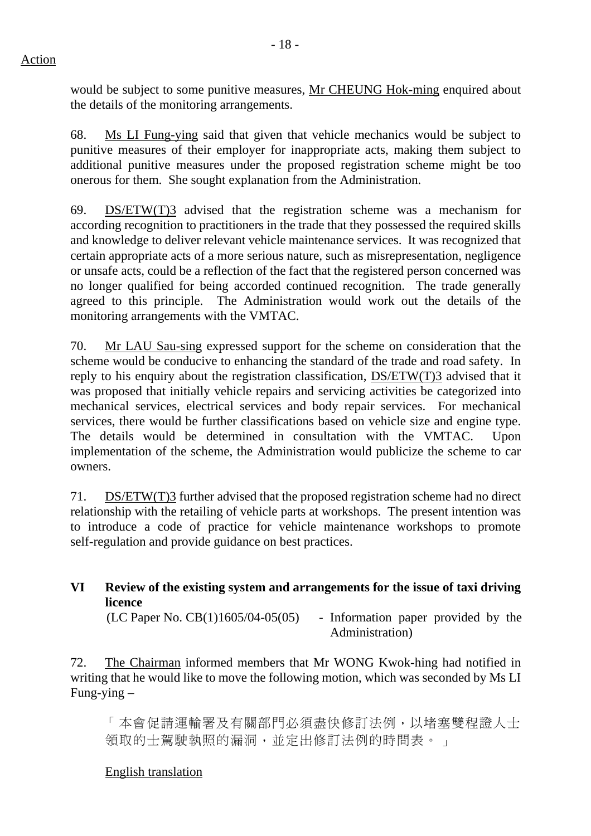would be subject to some punitive measures, Mr CHEUNG Hok-ming enquired about the details of the monitoring arrangements.

68. Ms LI Fung-ying said that given that vehicle mechanics would be subject to punitive measures of their employer for inappropriate acts, making them subject to additional punitive measures under the proposed registration scheme might be too onerous for them. She sought explanation from the Administration.

69. DS/ETW(T)3 advised that the registration scheme was a mechanism for according recognition to practitioners in the trade that they possessed the required skills and knowledge to deliver relevant vehicle maintenance services. It was recognized that certain appropriate acts of a more serious nature, such as misrepresentation, negligence or unsafe acts, could be a reflection of the fact that the registered person concerned was no longer qualified for being accorded continued recognition. The trade generally agreed to this principle. The Administration would work out the details of the monitoring arrangements with the VMTAC.

70. Mr LAU Sau-sing expressed support for the scheme on consideration that the scheme would be conducive to enhancing the standard of the trade and road safety. In reply to his enquiry about the registration classification, DS/ETW(T)3 advised that it was proposed that initially vehicle repairs and servicing activities be categorized into mechanical services, electrical services and body repair services. For mechanical services, there would be further classifications based on vehicle size and engine type. The details would be determined in consultation with the VMTAC. Upon implementation of the scheme, the Administration would publicize the scheme to car owners.

71. DS/ETW(T)3 further advised that the proposed registration scheme had no direct relationship with the retailing of vehicle parts at workshops. The present intention was to introduce a code of practice for vehicle maintenance workshops to promote self-regulation and provide guidance on best practices.

# **VI Review of the existing system and arrangements for the issue of taxi driving licence**

 $(LC$  Paper No.  $CB(1)1605/04-05(05)$  - Information paper provided by the Administration)

72. The Chairman informed members that Mr WONG Kwok-hing had notified in writing that he would like to move the following motion, which was seconded by Ms LI Fung-ying –

「本會促請運輸署及有關部門必須盡快修訂法例,以堵塞雙程證人士 領取的士駕駛執照的漏洞,並定出修訂法例的時間表。」

# English translation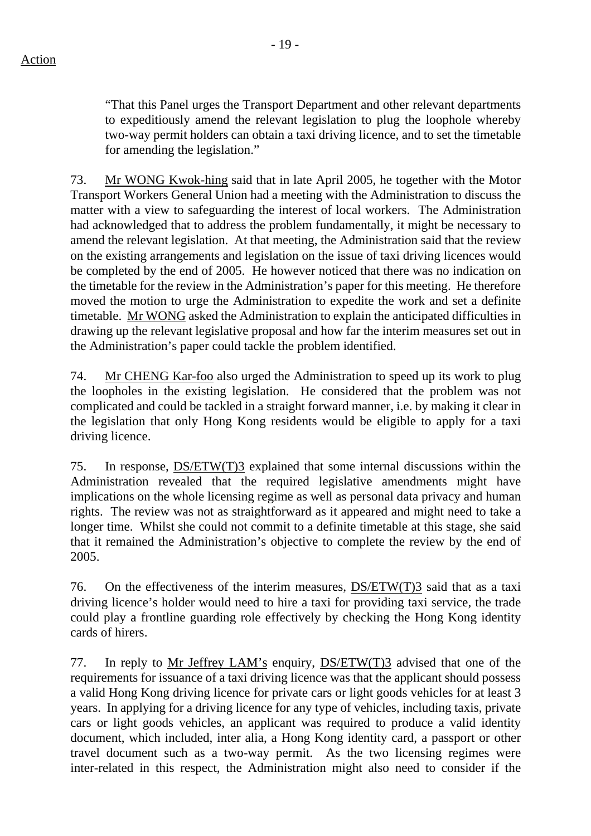"That this Panel urges the Transport Department and other relevant departments to expeditiously amend the relevant legislation to plug the loophole whereby two-way permit holders can obtain a taxi driving licence, and to set the timetable for amending the legislation."

73. Mr WONG Kwok-hing said that in late April 2005, he together with the Motor Transport Workers General Union had a meeting with the Administration to discuss the matter with a view to safeguarding the interest of local workers. The Administration had acknowledged that to address the problem fundamentally, it might be necessary to amend the relevant legislation. At that meeting, the Administration said that the review on the existing arrangements and legislation on the issue of taxi driving licences would be completed by the end of 2005. He however noticed that there was no indication on the timetable for the review in the Administration's paper for this meeting. He therefore moved the motion to urge the Administration to expedite the work and set a definite timetable. Mr WONG asked the Administration to explain the anticipated difficulties in drawing up the relevant legislative proposal and how far the interim measures set out in the Administration's paper could tackle the problem identified.

74. Mr CHENG Kar-foo also urged the Administration to speed up its work to plug the loopholes in the existing legislation. He considered that the problem was not complicated and could be tackled in a straight forward manner, i.e. by making it clear in the legislation that only Hong Kong residents would be eligible to apply for a taxi driving licence.

75. In response, DS/ETW(T)3 explained that some internal discussions within the Administration revealed that the required legislative amendments might have implications on the whole licensing regime as well as personal data privacy and human rights. The review was not as straightforward as it appeared and might need to take a longer time. Whilst she could not commit to a definite timetable at this stage, she said that it remained the Administration's objective to complete the review by the end of 2005.

76. On the effectiveness of the interim measures, DS/ETW(T)3 said that as a taxi driving licence's holder would need to hire a taxi for providing taxi service, the trade could play a frontline guarding role effectively by checking the Hong Kong identity cards of hirers.

77. In reply to Mr Jeffrey LAM's enquiry, DS/ETW(T)3 advised that one of the requirements for issuance of a taxi driving licence was that the applicant should possess a valid Hong Kong driving licence for private cars or light goods vehicles for at least 3 years. In applying for a driving licence for any type of vehicles, including taxis, private cars or light goods vehicles, an applicant was required to produce a valid identity document, which included, inter alia, a Hong Kong identity card, a passport or other travel document such as a two-way permit. As the two licensing regimes were inter-related in this respect, the Administration might also need to consider if the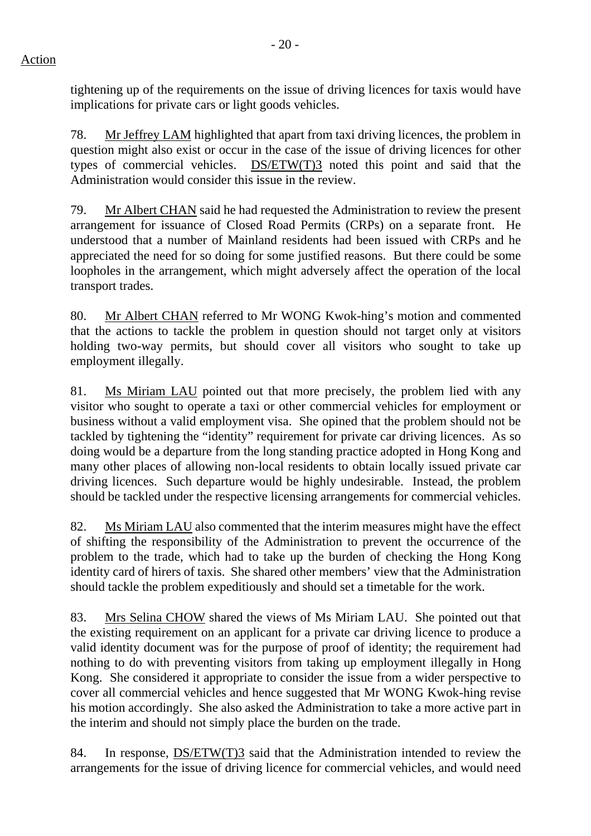tightening up of the requirements on the issue of driving licences for taxis would have implications for private cars or light goods vehicles.

78. Mr Jeffrey LAM highlighted that apart from taxi driving licences, the problem in question might also exist or occur in the case of the issue of driving licences for other types of commercial vehicles. DS/ETW(T)3 noted this point and said that the Administration would consider this issue in the review.

79. Mr Albert CHAN said he had requested the Administration to review the present arrangement for issuance of Closed Road Permits (CRPs) on a separate front. He understood that a number of Mainland residents had been issued with CRPs and he appreciated the need for so doing for some justified reasons. But there could be some loopholes in the arrangement, which might adversely affect the operation of the local transport trades.

80. Mr Albert CHAN referred to Mr WONG Kwok-hing's motion and commented that the actions to tackle the problem in question should not target only at visitors holding two-way permits, but should cover all visitors who sought to take up employment illegally.

81. Ms Miriam LAU pointed out that more precisely, the problem lied with any visitor who sought to operate a taxi or other commercial vehicles for employment or business without a valid employment visa. She opined that the problem should not be tackled by tightening the "identity" requirement for private car driving licences. As so doing would be a departure from the long standing practice adopted in Hong Kong and many other places of allowing non-local residents to obtain locally issued private car driving licences. Such departure would be highly undesirable. Instead, the problem should be tackled under the respective licensing arrangements for commercial vehicles.

82. Ms Miriam LAU also commented that the interim measures might have the effect of shifting the responsibility of the Administration to prevent the occurrence of the problem to the trade, which had to take up the burden of checking the Hong Kong identity card of hirers of taxis. She shared other members' view that the Administration should tackle the problem expeditiously and should set a timetable for the work.

83. Mrs Selina CHOW shared the views of Ms Miriam LAU. She pointed out that the existing requirement on an applicant for a private car driving licence to produce a valid identity document was for the purpose of proof of identity; the requirement had nothing to do with preventing visitors from taking up employment illegally in Hong Kong. She considered it appropriate to consider the issue from a wider perspective to cover all commercial vehicles and hence suggested that Mr WONG Kwok-hing revise his motion accordingly. She also asked the Administration to take a more active part in the interim and should not simply place the burden on the trade.

84. In response, DS/ETW(T)3 said that the Administration intended to review the arrangements for the issue of driving licence for commercial vehicles, and would need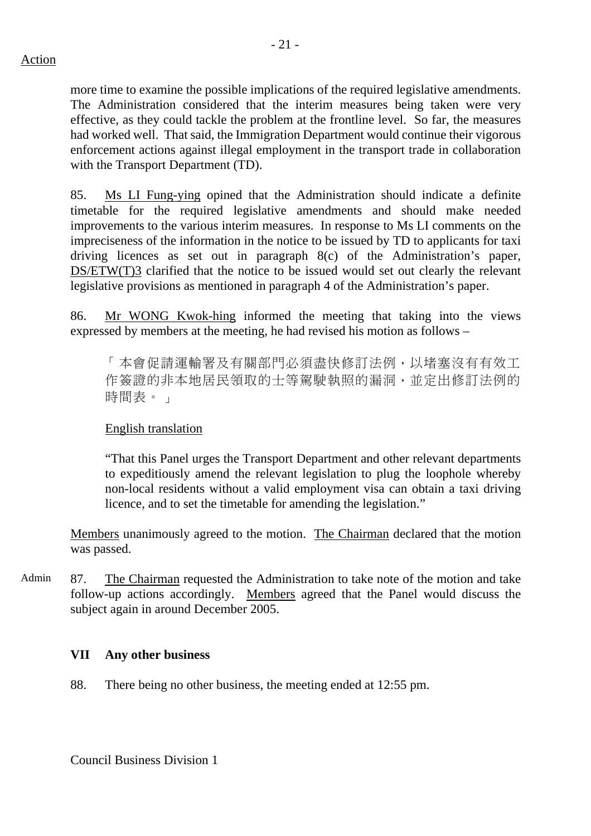more time to examine the possible implications of the required legislative amendments. The Administration considered that the interim measures being taken were very effective, as they could tackle the problem at the frontline level. So far, the measures had worked well. That said, the Immigration Department would continue their vigorous enforcement actions against illegal employment in the transport trade in collaboration with the Transport Department (TD).

85. Ms LI Fung-ying opined that the Administration should indicate a definite timetable for the required legislative amendments and should make needed improvements to the various interim measures. In response to Ms LI comments on the impreciseness of the information in the notice to be issued by TD to applicants for taxi driving licences as set out in paragraph 8(c) of the Administration's paper, DS/ETW(T)3 clarified that the notice to be issued would set out clearly the relevant legislative provisions as mentioned in paragraph 4 of the Administration's paper.

86. Mr WONG Kwok-hing informed the meeting that taking into the views expressed by members at the meeting, he had revised his motion as follows –

「本會促請運輸署及有關部門必須盡快修訂法例,以堵塞沒有有效工 作簽證的非本地居民領取的士等駕駛執照的漏洞,並定出修訂法例的 時間表。」

### English translation

"That this Panel urges the Transport Department and other relevant departments to expeditiously amend the relevant legislation to plug the loophole whereby non-local residents without a valid employment visa can obtain a taxi driving licence, and to set the timetable for amending the legislation."

Members unanimously agreed to the motion. The Chairman declared that the motion was passed.

Admin 87. The Chairman requested the Administration to take note of the motion and take follow-up actions accordingly. Members agreed that the Panel would discuss the subject again in around December 2005.

### **VII Any other business**

88. There being no other business, the meeting ended at 12:55 pm.